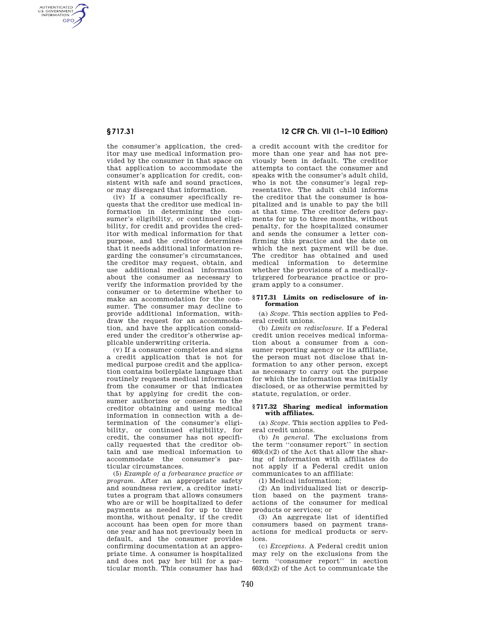AUTHENTICATED<br>U.S. GOVERNMENT<br>INFORMATION **GPO** 

> the consumer's application, the creditor may use medical information provided by the consumer in that space on that application to accommodate the consumer's application for credit, consistent with safe and sound practices, or may disregard that information.

> (iv) If a consumer specifically requests that the creditor use medical information in determining the consumer's eligibility, or continued eligibility, for credit and provides the creditor with medical information for that purpose, and the creditor determines that it needs additional information regarding the consumer's circumstances, the creditor may request, obtain, and use additional medical information about the consumer as necessary to verify the information provided by the consumer or to determine whether to make an accommodation for the consumer. The consumer may decline to provide additional information, withdraw the request for an accommodation, and have the application considered under the creditor's otherwise applicable underwriting criteria.

> (v) If a consumer completes and signs a credit application that is not for medical purpose credit and the application contains boilerplate language that routinely requests medical information from the consumer or that indicates that by applying for credit the consumer authorizes or consents to the creditor obtaining and using medical information in connection with a determination of the consumer's eligibility, or continued eligibility, for credit, the consumer has not specifically requested that the creditor obtain and use medical information to accommodate the consumer's particular circumstances.

> (5) *Example of a forbearance practice or program.* After an appropriate safety and soundness review, a creditor institutes a program that allows consumers who are or will be hospitalized to defer payments as needed for up to three months, without penalty, if the credit account has been open for more than one year and has not previously been in default, and the consumer provides confirming documentation at an appropriate time. A consumer is hospitalized and does not pay her bill for a particular month. This consumer has had

# **§ 717.31 12 CFR Ch. VII (1–1–10 Edition)**

a credit account with the creditor for more than one year and has not previously been in default. The creditor attempts to contact the consumer and speaks with the consumer's adult child, who is not the consumer's legal representative. The adult child informs the creditor that the consumer is hospitalized and is unable to pay the bill at that time. The creditor defers payments for up to three months, without penalty, for the hospitalized consumer and sends the consumer a letter confirming this practice and the date on which the next payment will be due. The creditor has obtained and used medical information to determine whether the provisions of a medicallytriggered forbearance practice or program apply to a consumer.

#### **§ 717.31 Limits on redisclosure of information**

(a) *Scope.* This section applies to Federal credit unions.

(b) *Limits on redisclosure.* If a Federal credit union receives medical information about a consumer from a consumer reporting agency or its affiliate, the person must not disclose that information to any other person, except as necessary to carry out the purpose for which the information was initially disclosed, or as otherwise permitted by statute, regulation, or order.

#### **§ 717.32 Sharing medical information with affiliates.**

(a) *Scope.* This section applies to Federal credit unions.

(b) *In general.* The exclusions from the term ''consumer report'' in section  $603(d)(2)$  of the Act that allow the sharing of information with affiliates do not apply if a Federal credit union communicates to an affiliate:

(1) Medical information;

(2) An individualized list or description based on the payment transactions of the consumer for medical products or services; or

(3) An aggregate list of identified consumers based on payment transactions for medical products or services.

(c) *Exceptions.* A Federal credit union may rely on the exclusions from the term ''consumer report'' in section  $603(d)(2)$  of the Act to communicate the